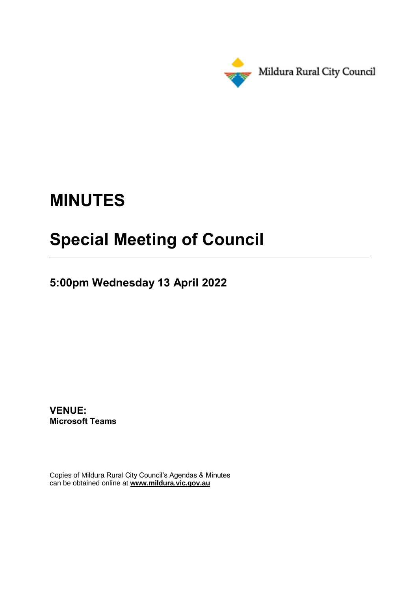

# **MINUTES**

# **Special Meeting of Council**

**5:00pm Wednesday 13 April 2022**

**VENUE: Microsoft Teams**

Copies of Mildura Rural City Council's Agendas & Minutes can be obtained online at **www.mildura.vic.gov.au**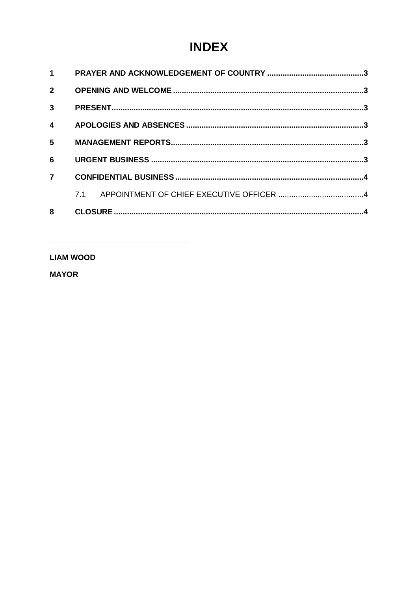# **INDEX**

### **LIAM WOOD**

**MAYOR**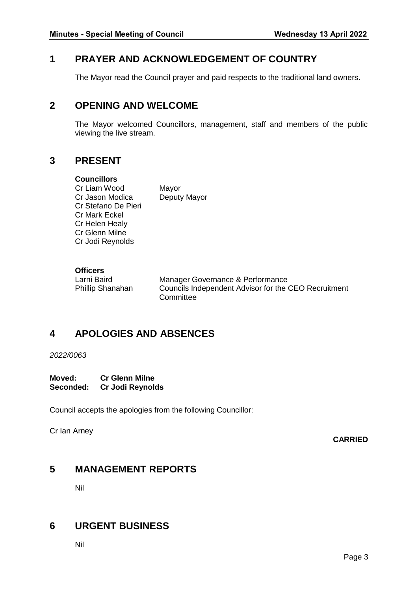# <span id="page-2-0"></span>**1 PRAYER AND ACKNOWLEDGEMENT OF COUNTRY**

The Mayor read the Council prayer and paid respects to the traditional land owners.

# <span id="page-2-1"></span>**2 OPENING AND WELCOME**

The Mayor welcomed Councillors, management, staff and members of the public viewing the live stream.

# <span id="page-2-2"></span>**3 PRESENT**

#### **Councillors**

Cr Liam Wood Mayor Cr Jason Modica Deputy Mayor Cr Stefano De Pieri Cr Mark Eckel Cr Helen Healy Cr Glenn Milne Cr Jodi Reynolds

#### **Officers**

Larni Baird Manager Governance & Performance<br>
Phillip Shanahan Councils Independent Advisor for the Councils Independent Advisor for the CEO Recruitment **Committee** 

# <span id="page-2-3"></span>**4 APOLOGIES AND ABSENCES**

#### *2022/0063*

**Moved: Cr Glenn Milne Seconded: Cr Jodi Reynolds**

Council accepts the apologies from the following Councillor:

Cr Ian Arney

**CARRIED**

### <span id="page-2-4"></span>**5 MANAGEMENT REPORTS**

Nil

# <span id="page-2-5"></span>**6 URGENT BUSINESS**

Nil